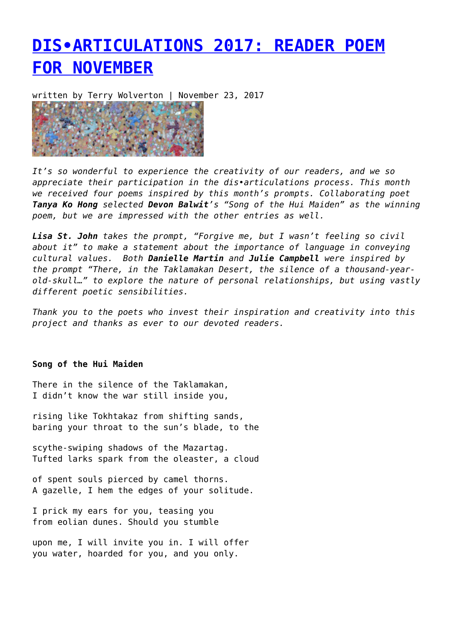## **[DIS•ARTICULATIONS 2017: READER POEM](https://entropymag.org/dis%e2%80%a2articulations-2017-reader-poem-for-november/) [FOR NOVEMBER](https://entropymag.org/dis%e2%80%a2articulations-2017-reader-poem-for-november/)**

written by Terry Wolverton | November 23, 2017



*It's so wonderful to experience the creativity of our readers, and we so appreciate their participation in the dis•articulations process. This month we received four poems inspired by this month's prompts. Collaborating poet Tanya Ko Hong selected Devon Balwit's "Song of the Hui Maiden" as the winning poem, but we are impressed with the other entries as well.*

*Lisa St. John takes the prompt, "Forgive me, but I wasn't feeling so civil about it" to make a statement about the importance of language in conveying cultural values. Both Danielle Martin and Julie Campbell were inspired by the prompt "There, in the Taklamakan Desert, the silence of a thousand-yearold-skull…" to explore the nature of personal relationships, but using vastly different poetic sensibilities.*

*Thank you to the poets who invest their inspiration and creativity into this project and thanks as ever to our devoted readers.*

## **Song of the Hui Maiden**

There in the silence of the Taklamakan, I didn't know the war still inside you,

rising like Tokhtakaz from shifting sands, baring your throat to the sun's blade, to the

scythe-swiping shadows of the Mazartag. Tufted larks spark from the oleaster, a cloud

of spent souls pierced by camel thorns. A gazelle, I hem the edges of your solitude.

I prick my ears for you, teasing you from eolian dunes. Should you stumble

upon me, I will invite you in. I will offer you water, hoarded for you, and you only.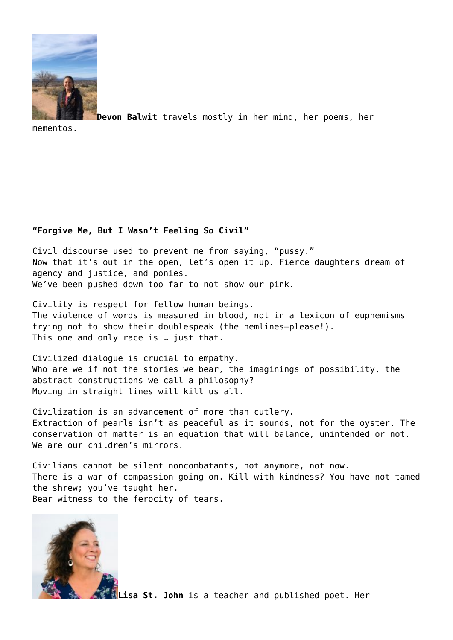

**Devon Balwit** travels mostly in her mind, her poems, her

mementos.

## **"Forgive Me, But I Wasn't Feeling So Civil"**

Civil discourse used to prevent me from saying, "pussy." Now that it's out in the open, let's open it up. Fierce daughters dream of agency and justice, and ponies. We've been pushed down too far to not show our pink.

Civility is respect for fellow human beings. The violence of words is measured in blood, not in a lexicon of euphemisms trying not to show their doublespeak (the hemlines—please!). This one and only race is … just that.

Civilized dialogue is crucial to empathy. Who are we if not the stories we bear, the imaginings of possibility, the abstract constructions we call a philosophy? Moving in straight lines will kill us all.

Civilization is an advancement of more than cutlery. Extraction of pearls isn't as peaceful as it sounds, not for the oyster. The conservation of matter is an equation that will balance, unintended or not. We are our children's mirrors.

Civilians cannot be silent noncombatants, not anymore, not now. There is a war of compassion going on. Kill with kindness? You have not tamed the shrew; you've taught her. Bear witness to the ferocity of tears.



**Lisa St. John** is a teacher and published poet. Her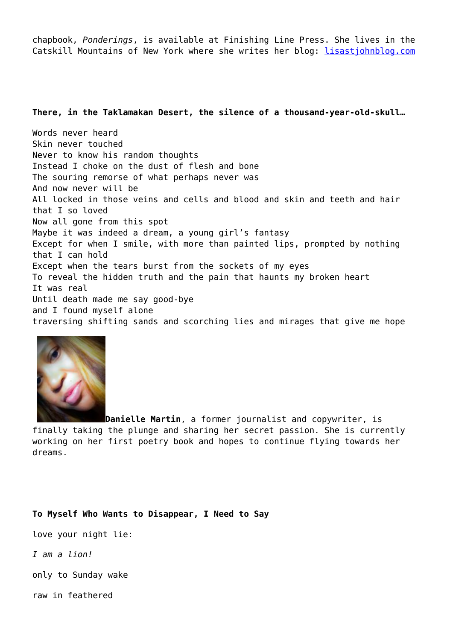chapbook, *Ponderings*, is available at Finishing Line Press. She lives in the Catskill Mountains of New York where she writes her blog: [lisastjohnblog.com](http://lisastjohnblog.com)

## **There, in the Taklamakan Desert, the silence of a thousand-year-old-skull…**

Words never heard Skin never touched Never to know his random thoughts Instead I choke on the dust of flesh and bone The souring remorse of what perhaps never was And now never will be All locked in those veins and cells and blood and skin and teeth and hair that I so loved Now all gone from this spot Maybe it was indeed a dream, a young girl's fantasy Except for when I smile, with more than painted lips, prompted by nothing that I can hold Except when the tears burst from the sockets of my eyes To reveal the hidden truth and the pain that haunts my broken heart It was real Until death made me say good-bye and I found myself alone traversing shifting sands and scorching lies and mirages that give me hope



**Danielle Martin**, a former journalist and copywriter, is finally taking the plunge and sharing her secret passion. She is currently working on her first poetry book and hopes to continue flying towards her dreams.

**To Myself Who Wants to Disappear, I Need to Say**

love your night lie:

*I am a lion!*

only to Sunday wake

raw in feathered